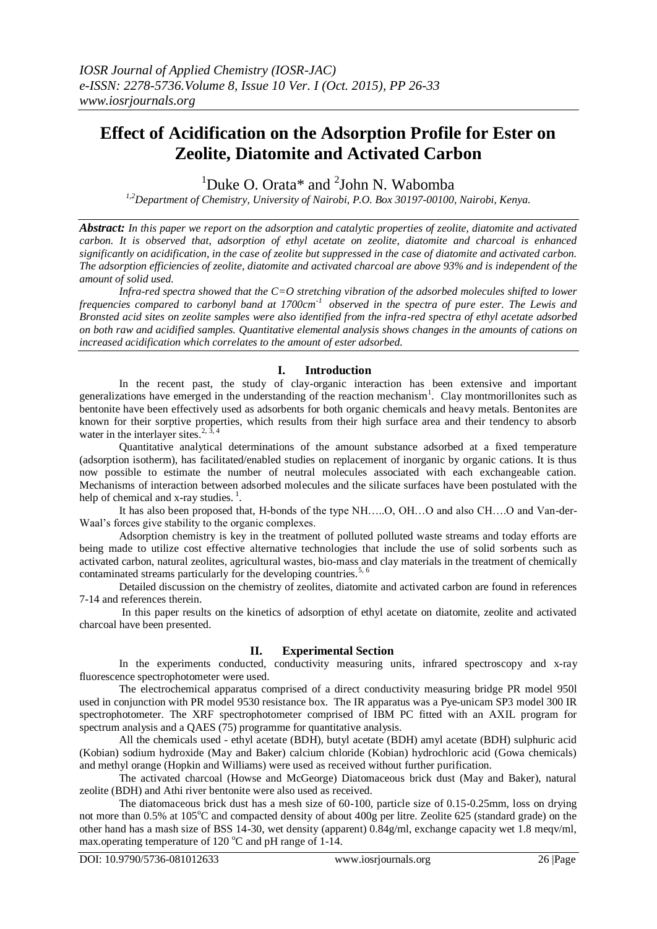# **Effect of Acidification on the Adsorption Profile for Ester on Zeolite, Diatomite and Activated Carbon**

<sup>1</sup>Duke O. Orata\* and  $2$ John N. Wabomba

*1,2Department of Chemistry, University of Nairobi, P.O. Box 30197-00100, Nairobi, Kenya.*

*Abstract: In this paper we report on the adsorption and catalytic properties of zeolite, diatomite and activated carbon. It is observed that, adsorption of ethyl acetate on zeolite, diatomite and charcoal is enhanced significantly on acidification, in the case of zeolite but suppressed in the case of diatomite and activated carbon. The adsorption efficiencies of zeolite, diatomite and activated charcoal are above 93% and is independent of the amount of solid used.*

*Infra-red spectra showed that the C=O stretching vibration of the adsorbed molecules shifted to lower frequencies compared to carbonyl band at 1700cm-1 observed in the spectra of pure ester. The Lewis and Bronsted acid sites on zeolite samples were also identified from the infra-red spectra of ethyl acetate adsorbed on both raw and acidified samples. Quantitative elemental analysis shows changes in the amounts of cations on increased acidification which correlates to the amount of ester adsorbed.* 

# **I. Introduction**

In the recent past, the study of clay-organic interaction has been extensive and important generalizations have emerged in the understanding of the reaction mechanism<sup>1</sup>. Clay montmorillonites such as bentonite have been effectively used as adsorbents for both organic chemicals and heavy metals. Bentonites are known for their sorptive properties, which results from their high surface area and their tendency to absorb water in the interlayer sites.<sup>2, 3, 4</sup>

Quantitative analytical determinations of the amount substance adsorbed at a fixed temperature (adsorption isotherm), has facilitated/enabled studies on replacement of inorganic by organic cations. It is thus now possible to estimate the number of neutral molecules associated with each exchangeable cation. Mechanisms of interaction between adsorbed molecules and the silicate surfaces have been postulated with the help of chemical and x-ray studies. $<sup>1</sup>$ .</sup>

It has also been proposed that, H-bonds of the type NH....O, OH...O and also CH...O and Van-der-Waal's forces give stability to the organic complexes.

Adsorption chemistry is key in the treatment of polluted polluted waste streams and today efforts are being made to utilize cost effective alternative technologies that include the use of solid sorbents such as activated carbon, natural zeolites, agricultural wastes, bio-mass and clay materials in the treatment of chemically contaminated streams particularly for the developing countries.<sup>5, 6</sup>

Detailed discussion on the chemistry of zeolites, diatomite and activated carbon are found in references 7-14 and references therein.

In this paper results on the kinetics of adsorption of ethyl acetate on diatomite, zeolite and activated charcoal have been presented.

# **II. Experimental Section**

In the experiments conducted, conductivity measuring units, infrared spectroscopy and x-ray fluorescence spectrophotometer were used.

The electrochemical apparatus comprised of a direct conductivity measuring bridge PR model 950l used in conjunction with PR model 9530 resistance box. The IR apparatus was a Pye-unicam SP3 model 300 IR spectrophotometer. The XRF spectrophotometer comprised of IBM PC fitted with an AXIL program for spectrum analysis and a QAES (75) programme for quantitative analysis.

All the chemicals used - ethyl acetate (BDH), butyl acetate (BDH) amyl acetate (BDH) sulphuric acid (Kobian) sodium hydroxide (May and Baker) calcium chloride (Kobian) hydrochloric acid (Gowa chemicals) and methyl orange (Hopkin and Williams) were used as received without further purification.

The activated charcoal (Howse and McGeorge) Diatomaceous brick dust (May and Baker), natural zeolite (BDH) and Athi river bentonite were also used as received.

The diatomaceous brick dust has a mesh size of 60-100, particle size of 0.15-0.25mm, loss on drying not more than 0.5% at 105<sup>o</sup>C and compacted density of about 400g per litre. Zeolite 625 (standard grade) on the other hand has a mash size of BSS 14-30, wet density (apparent) 0.84g/ml, exchange capacity wet 1.8 meqv/ml, max.operating temperature of 120  $^{\circ}$ C and pH range of 1-14.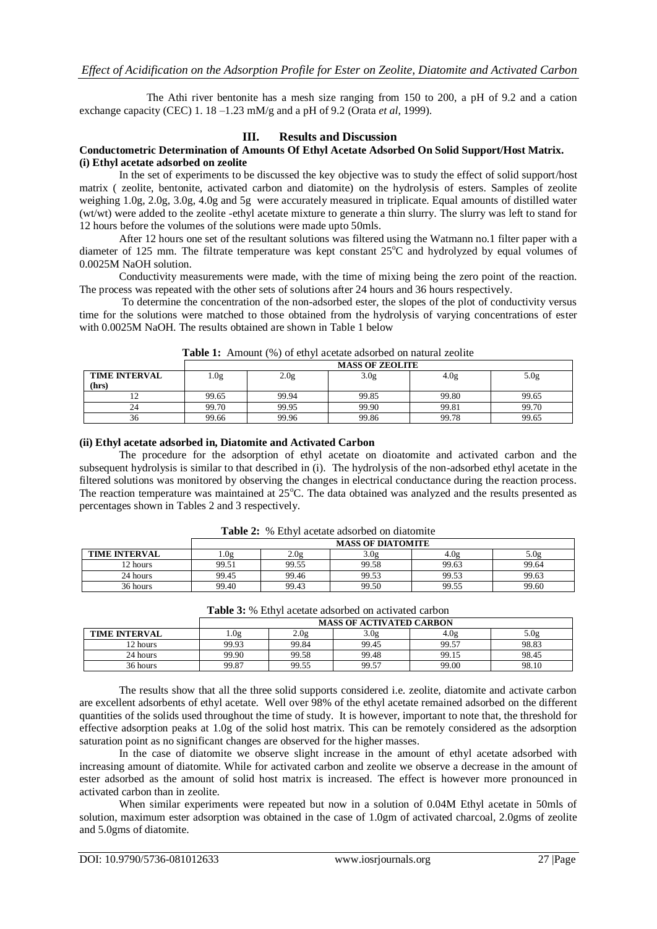The Athi river bentonite has a mesh size ranging from 150 to 200, a pH of 9.2 and a cation exchange capacity (CEC) 1. 18 –1.23 mM/g and a pH of 9.2 (Orata *et al*, 1999).

## **III. Results and Discussion**

### **Conductometric Determination of Amounts Of Ethyl Acetate Adsorbed On Solid Support/Host Matrix. (i) Ethyl acetate adsorbed on zeolite**

In the set of experiments to be discussed the key objective was to study the effect of solid support/host matrix ( zeolite, bentonite, activated carbon and diatomite) on the hydrolysis of esters. Samples of zeolite weighing 1.0g, 2.0g, 3.0g, 4.0g and 5g were accurately measured in triplicate. Equal amounts of distilled water (wt/wt) were added to the zeolite -ethyl acetate mixture to generate a thin slurry. The slurry was left to stand for 12 hours before the volumes of the solutions were made upto 50mls.

After 12 hours one set of the resultant solutions was filtered using the Watmann no.1 filter paper with a diameter of 125 mm. The filtrate temperature was kept constant  $25^{\circ}$ C and hydrolyzed by equal volumes of 0.0025M NaOH solution.

Conductivity measurements were made, with the time of mixing being the zero point of the reaction. The process was repeated with the other sets of solutions after 24 hours and 36 hours respectively.

To determine the concentration of the non-adsorbed ester, the slopes of the plot of conductivity versus time for the solutions were matched to those obtained from the hydrolysis of varying concentrations of ester with 0.0025M NaOH. The results obtained are shown in Table 1 below

|                      | <b>MASS OF ZEOLITE</b>                           |       |       |       |       |  |  |
|----------------------|--------------------------------------------------|-------|-------|-------|-------|--|--|
| <b>TIME INTERVAL</b> | 3.0g<br>. Og<br>5.0g<br>4.0 <sub>g</sub><br>2.0g |       |       |       |       |  |  |
| (hrs)                |                                                  |       |       |       |       |  |  |
|                      | 99.65                                            | 99.94 | 99.85 | 99.80 | 99.65 |  |  |
|                      | 99.70                                            | 99.95 | 99.90 | 99.81 | 99.70 |  |  |
| 30                   | 99.66                                            | 99.96 | 99.86 | 99.78 | 99.65 |  |  |

**Table 1:** Amount (%) of ethyl acetate adsorbed on natural zeolite

## **(ii) Ethyl acetate adsorbed in, Diatomite and Activated Carbon**

The procedure for the adsorption of ethyl acetate on dioatomite and activated carbon and the subsequent hydrolysis is similar to that described in (i). The hydrolysis of the non-adsorbed ethyl acetate in the filtered solutions was monitored by observing the changes in electrical conductance during the reaction process. The reaction temperature was maintained at  $25^{\circ}$ C. The data obtained was analyzed and the results presented as percentages shown in Tables 2 and 3 respectively.

|                      | <b>MASS OF DIATOMITE</b>                        |       |       |       |       |  |
|----------------------|-------------------------------------------------|-------|-------|-------|-------|--|
| <b>TIME INTERVAL</b> | 2.0g<br>3.0g<br>4.0 <sub>g</sub><br>.0g<br>5.0g |       |       |       |       |  |
| 12 hours             | 99.51                                           | 99.55 | 99.58 | 99.63 | 99.64 |  |
| 24 hours             | 99.45                                           | 99.46 | 99.53 | 99.53 | 99.63 |  |
| 36 hours             | 99.40                                           | 99.43 | 99.50 | 99.55 | 99.60 |  |

**Table 2:** % Ethyl acetate adsorbed on diatomite

| <b>Table 3:</b> % Ethyl acetate adsorbed on activated carbon |                                 |       |       |       |       |
|--------------------------------------------------------------|---------------------------------|-------|-------|-------|-------|
|                                                              | <b>MASS OF ACTIVATED CARBON</b> |       |       |       |       |
| <b>TIME INTERVAL</b>                                         | .0g                             | 2.0g  | 3.0g  | 4.0g  | 5.0g  |
| 12 hours                                                     | 99.93                           | 99.84 | 99.45 | 99.57 | 98.83 |
| 24 hours                                                     | 99.90                           | 99.58 | 99.48 | 99.15 | 98.45 |
| 36 hours                                                     | 99.87                           | 99.55 | 99.57 | 99.00 | 98.10 |

The results show that all the three solid supports considered i.e. zeolite, diatomite and activate carbon are excellent adsorbents of ethyl acetate. Well over 98% of the ethyl acetate remained adsorbed on the different quantities of the solids used throughout the time of study. It is however, important to note that, the threshold for effective adsorption peaks at 1.0g of the solid host matrix. This can be remotely considered as the adsorption saturation point as no significant changes are observed for the higher masses.

In the case of diatomite we observe slight increase in the amount of ethyl acetate adsorbed with increasing amount of diatomite. While for activated carbon and zeolite we observe a decrease in the amount of ester adsorbed as the amount of solid host matrix is increased. The effect is however more pronounced in activated carbon than in zeolite.

When similar experiments were repeated but now in a solution of 0.04M Ethyl acetate in 50mls of solution, maximum ester adsorption was obtained in the case of 1.0gm of activated charcoal, 2.0gms of zeolite and 5.0gms of diatomite.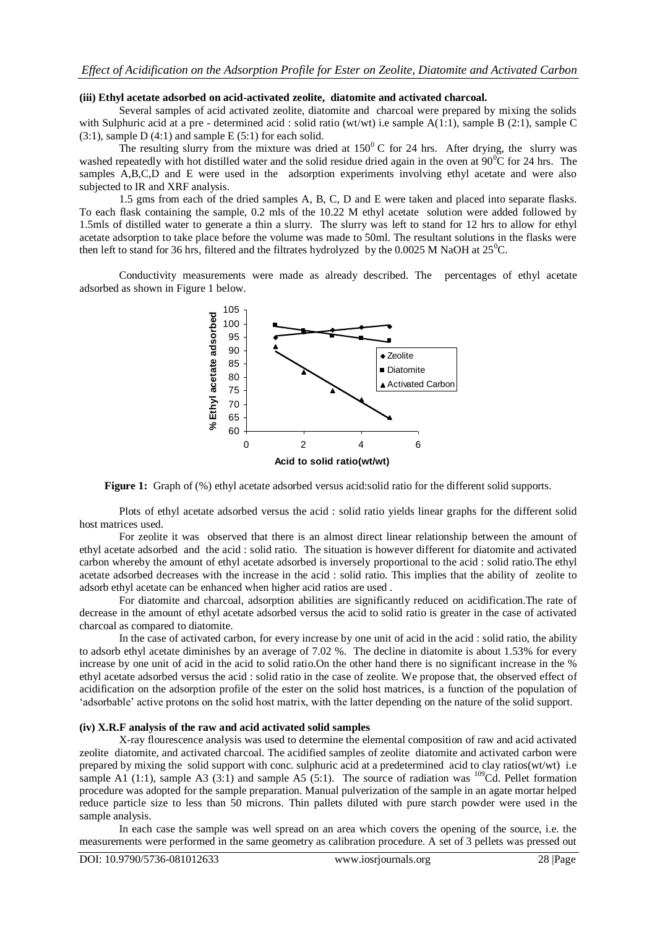#### **(iii) Ethyl acetate adsorbed on acid-activated zeolite, diatomite and activated charcoal.**

Several samples of acid activated zeolite, diatomite and charcoal were prepared by mixing the solids with Sulphuric acid at a pre - determined acid : solid ratio (wt/wt) i.e sample A(1:1), sample B (2:1), sample C  $(3:1)$ , sample D  $(4:1)$  and sample E  $(5:1)$  for each solid.

The resulting slurry from the mixture was dried at  $150^{\circ}$  C for 24 hrs. After drying, the slurry was washed repeatedly with hot distilled water and the solid residue dried again in the oven at  $90^{\circ}$ C for 24 hrs. The samples A,B,C,D and E were used in the adsorption experiments involving ethyl acetate and were also subjected to IR and XRF analysis.

1.5 gms from each of the dried samples A, B, C, D and E were taken and placed into separate flasks. To each flask containing the sample, 0.2 mls of the 10.22 M ethyl acetate solution were added followed by 1.5mls of distilled water to generate a thin a slurry. The slurry was left to stand for 12 hrs to allow for ethyl acetate adsorption to take place before the volume was made to 50ml. The resultant solutions in the flasks were then left to stand for 36 hrs, filtered and the filtrates hydrolyzed by the 0.0025 M NaOH at  $25^{\circ}$ C.

Conductivity measurements were made as already described. The percentages of ethyl acetate adsorbed as shown in Figure 1 below.



**Figure 1:** Graph of (%) ethyl acetate adsorbed versus acid:solid ratio for the different solid supports.

Plots of ethyl acetate adsorbed versus the acid : solid ratio yields linear graphs for the different solid host matrices used.

For zeolite it was observed that there is an almost direct linear relationship between the amount of ethyl acetate adsorbed and the acid : solid ratio. The situation is however different for diatomite and activated carbon whereby the amount of ethyl acetate adsorbed is inversely proportional to the acid : solid ratio.The ethyl acetate adsorbed decreases with the increase in the acid : solid ratio. This implies that the ability of zeolite to adsorb ethyl acetate can be enhanced when higher acid ratios are used .

For diatomite and charcoal, adsorption abilities are significantly reduced on acidification.The rate of decrease in the amount of ethyl acetate adsorbed versus the acid to solid ratio is greater in the case of activated charcoal as compared to diatomite.

In the case of activated carbon, for every increase by one unit of acid in the acid : solid ratio, the ability to adsorb ethyl acetate diminishes by an average of 7.02 %. The decline in diatomite is about 1.53% for every increase by one unit of acid in the acid to solid ratio.On the other hand there is no significant increase in the % ethyl acetate adsorbed versus the acid : solid ratio in the case of zeolite. We propose that, the observed effect of acidification on the adsorption profile of the ester on the solid host matrices, is a function of the population of 'adsorbable' active protons on the solid host matrix, with the latter depending on the nature of the solid support.

#### **(iv) X.R.F analysis of the raw and acid activated solid samples**

X-ray flourescence analysis was used to determine the elemental composition of raw and acid activated zeolite diatomite, and activated charcoal. The acidified samples of zeolite diatomite and activated carbon were prepared by mixing the solid support with conc. sulphuric acid at a predetermined acid to clay ratios(wt/wt) i.e sample A1 (1:1), sample A3 (3:1) and sample A5 (5:1). The source of radiation was  $^{109}$ Cd. Pellet formation procedure was adopted for the sample preparation. Manual pulverization of the sample in an agate mortar helped reduce particle size to less than 50 microns. Thin pallets diluted with pure starch powder were used in the sample analysis.

In each case the sample was well spread on an area which covers the opening of the source, i.e. the measurements were performed in the same geometry as calibration procedure. A set of 3 pellets was pressed out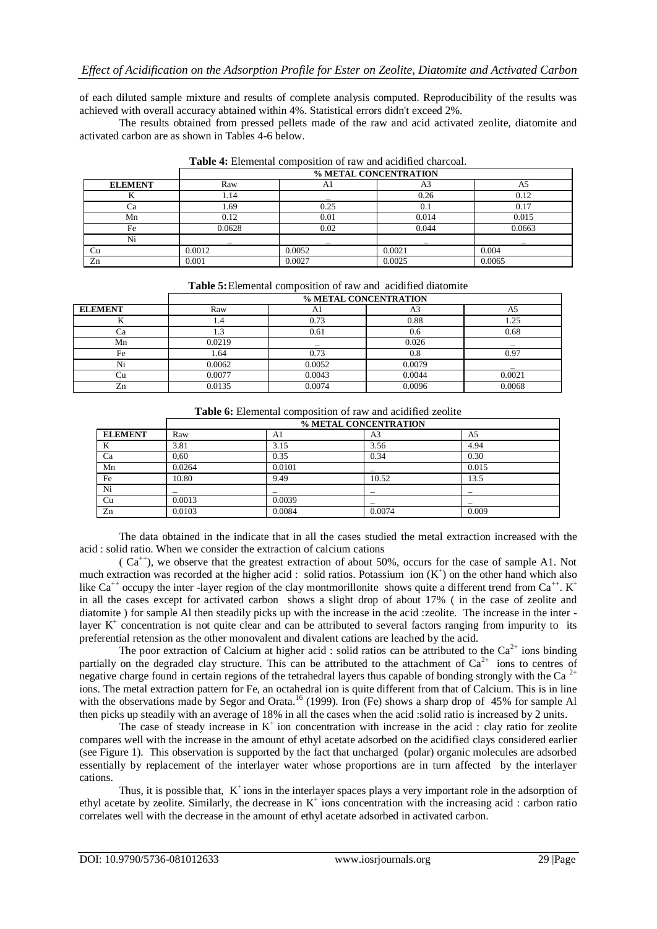of each diluted sample mixture and results of complete analysis computed. Reproducibility of the results was achieved with overall accuracy abtained within 4%. Statistical errors didn't exceed 2%.

The results obtained from pressed pellets made of the raw and acid activated zeolite, diatomite and activated carbon are as shown in Tables 4-6 below.

|                | % METAL CONCENTRATION |        |        |        |  |
|----------------|-----------------------|--------|--------|--------|--|
| <b>ELEMENT</b> | Raw                   | Αl     | A.     |        |  |
|                | 1.14                  |        | 0.26   | 0.12   |  |
| Сa             | 1.69                  | 0.25   | 0.1    | 0.17   |  |
| Mn             | 0.12                  | 0.01   | 0.014  | 0.015  |  |
| Fe             | 0.0628                | 0.02   | 0.044  | 0.0663 |  |
| Ni             |                       |        |        |        |  |
| Cu             | 0.0012                | 0.0052 | 0.0021 | 0.004  |  |
| Zn             | 0.001                 | 0.0027 | 0.0025 | 0.0065 |  |

**Table 4:** Elemental composition of raw and acidified charcoal.

|  |  |  | Table 5: Elemental composition of raw and acidified diatomite |
|--|--|--|---------------------------------------------------------------|
|--|--|--|---------------------------------------------------------------|

|                | % METAL CONCENTRATION |        |        |        |  |
|----------------|-----------------------|--------|--------|--------|--|
| <b>ELEMENT</b> | Raw                   | Al     | A3     | A      |  |
| v              | 1.4                   | 0.73   | 0.88   | 1.25   |  |
|                | L.J                   | 0.61   | 0.6    | 0.68   |  |
| Mn             | 0.0219                |        | 0.026  |        |  |
| Fe             | l.64                  | 0.73   | 0.8    | 0.97   |  |
| Ni             | 0.0062                | 0.0052 | 0.0079 |        |  |
|                | 0.0077                | 0.0043 | 0.0044 | 0.0021 |  |
| Zn             | 0.0135                | 0.0074 | 0.0096 | 0.0068 |  |

**Table 6:** Elemental composition of raw and acidified zeolite

|                | % METAL CONCENTRATION |        |        |       |  |
|----------------|-----------------------|--------|--------|-------|--|
| <b>ELEMENT</b> | Raw                   | Al     | A3     | A5    |  |
|                | 3.81                  | 3.15   | 3.56   | 4.94  |  |
| Ca             | 0,60                  | 0.35   | 0.34   | 0.30  |  |
| Mn             | 0.0264                | 0.0101 |        | 0.015 |  |
| Fe             | 10.80                 | 9.49   | 10.52  | 13.5  |  |
| Ni             |                       |        |        |       |  |
| Cu             | 0.0013                | 0.0039 |        |       |  |
| Zn             | 0.0103                | 0.0084 | 0.0074 | 0.009 |  |

The data obtained in the indicate that in all the cases studied the metal extraction increased with the acid : solid ratio. When we consider the extraction of calcium cations

 $(Ca^{++})$ , we observe that the greatest extraction of about 50%, occurs for the case of sample A1. Not much extraction was recorded at the higher acid : solid ratios. Potassium ion  $(K^+)$  on the other hand which also like Ca<sup>++</sup> occupy the inter -layer region of the clay montmorillonite shows quite a different trend from  $Ca^{++}$ . K<sup>+</sup> in all the cases except for activated carbon shows a slight drop of about 17% ( in the case of zeolite and diatomite ) for sample Al then steadily picks up with the increase in the acid :zeolite. The increase in the inter layer  $K^+$  concentration is not quite clear and can be attributed to several factors ranging from impurity to its preferential retension as the other monovalent and divalent cations are leached by the acid.

The poor extraction of Calcium at higher acid : solid ratios can be attributed to the  $Ca^{2+}$  ions binding partially on the degraded clay structure. This can be attributed to the attachment of  $Ca^{2+}$  ions to centres of negative charge found in certain regions of the tetrahedral layers thus capable of bonding strongly with the Ca  $^{2+}$ ions. The metal extraction pattern for Fe, an octahedral ion is quite different from that of Calcium. This is in line with the observations made by Segor and Orata.<sup>16</sup> (1999). Iron (Fe) shows a sharp drop of 45% for sample Al then picks up steadily with an average of 18% in all the cases when the acid :solid ratio is increased by 2 units.

The case of steady increase in  $K^+$  ion concentration with increase in the acid : clay ratio for zeolite compares well with the increase in the amount of ethyl acetate adsorbed on the acidified clays considered earlier (see Figure 1). This observation is supported by the fact that uncharged (polar) organic molecules are adsorbed essentially by replacement of the interlayer water whose proportions are in turn affected by the interlayer cations.

Thus, it is possible that, K<sup>+</sup>ions in the interlayer spaces plays a very important role in the adsorption of ethyl acetate by zeolite. Similarly, the decrease in  $K^+$  ions concentration with the increasing acid : carbon ratio correlates well with the decrease in the amount of ethyl acetate adsorbed in activated carbon.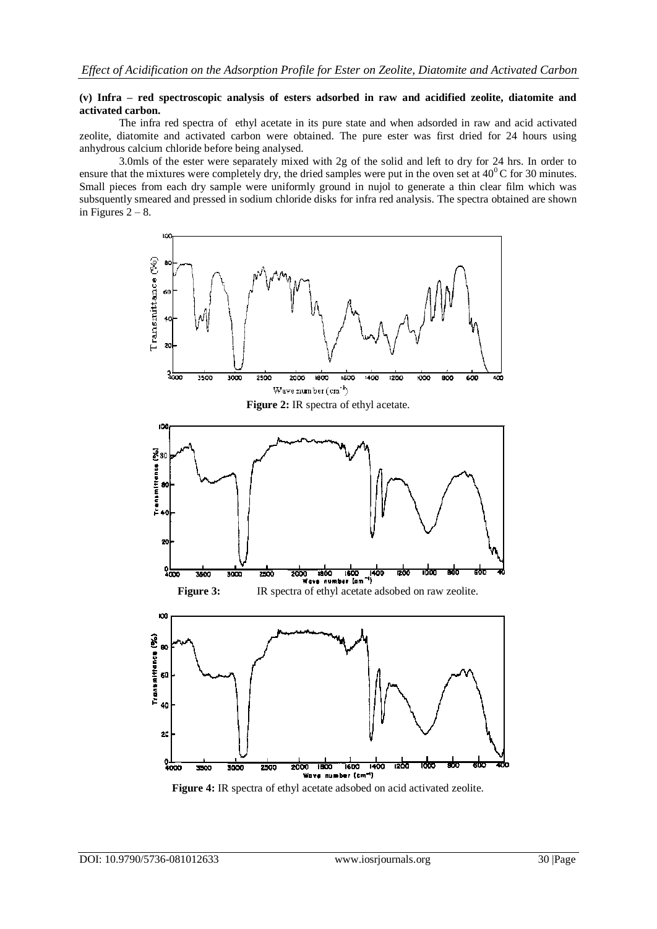#### **(v) Infra – red spectroscopic analysis of esters adsorbed in raw and acidified zeolite, diatomite and activated carbon.**

The infra red spectra of ethyl acetate in its pure state and when adsorded in raw and acid activated zeolite, diatomite and activated carbon were obtained. The pure ester was first dried for 24 hours using anhydrous calcium chloride before being analysed.

3.0mls of the ester were separately mixed with 2g of the solid and left to dry for 24 hrs. In order to ensure that the mixtures were completely dry, the dried samples were put in the oven set at  $40^{\circ}$ C for 30 minutes. Small pieces from each dry sample were uniformly ground in nujol to generate a thin clear film which was subsquently smeared and pressed in sodium chloride disks for infra red analysis. The spectra obtained are shown in Figures  $2 - 8$ .



**Figure 4:** IR spectra of ethyl acetate adsobed on acid activated zeolite.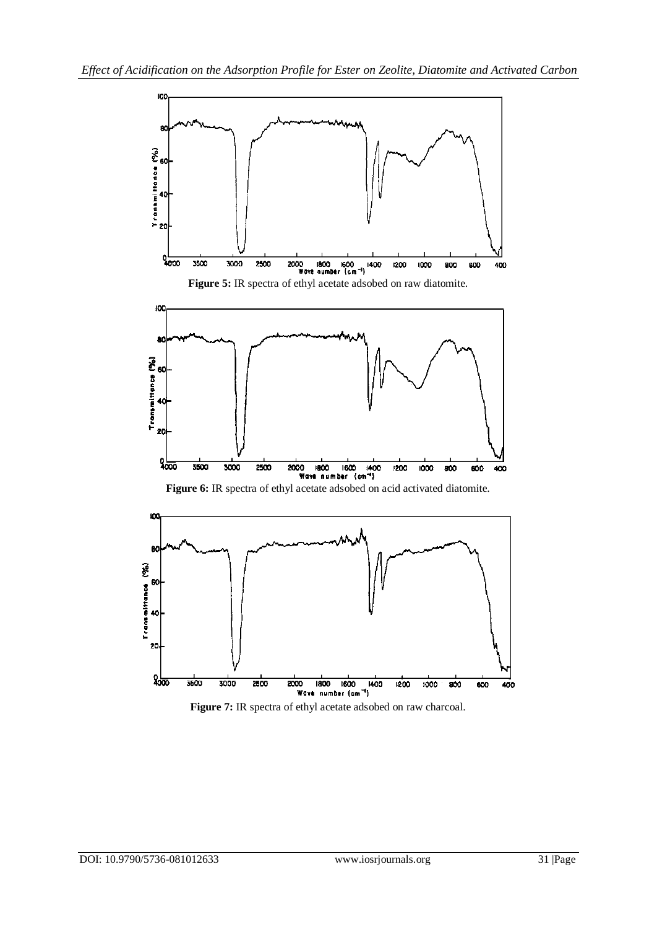

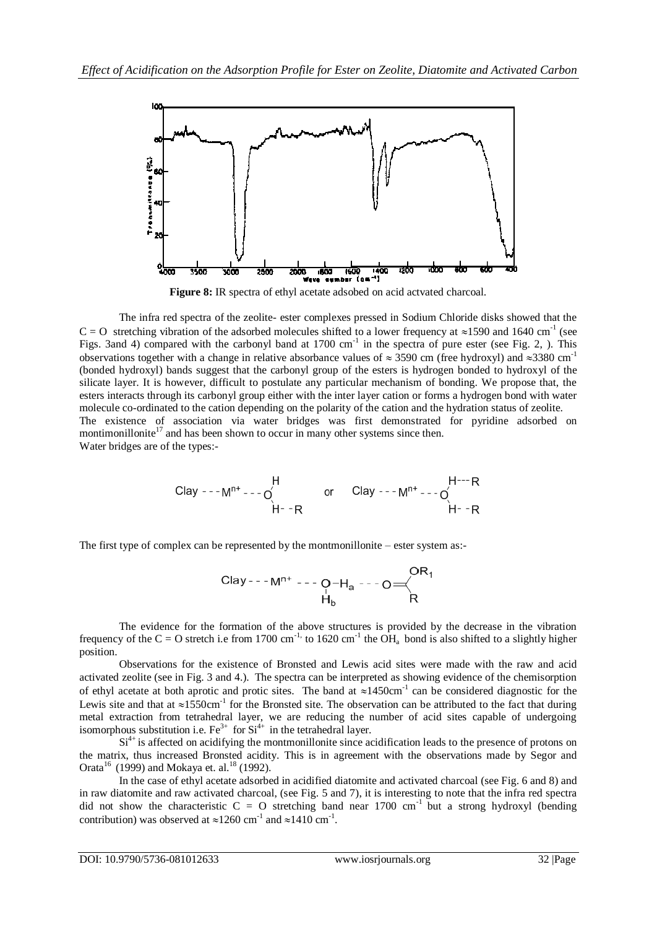

Figure 8: IR spectra of ethyl acetate adsobed on acid actvated charcoal.

The infra red spectra of the zeolite- ester complexes pressed in Sodium Chloride disks showed that the C = O stretching vibration of the adsorbed molecules shifted to a lower frequency at  $\approx$ 1590 and 1640 cm<sup>-1</sup> (see Figs. 3and 4) compared with the carbonyl band at  $1700 \text{ cm}^{-1}$  in the spectra of pure ester (see Fig. 2, ). This observations together with a change in relative absorbance values of  $\approx 3590$  cm (free hydroxyl) and  $\approx 3380$  cm<sup>-1</sup> (bonded hydroxyl) bands suggest that the carbonyl group of the esters is hydrogen bonded to hydroxyl of the silicate layer. It is however, difficult to postulate any particular mechanism of bonding. We propose that, the esters interacts through its carbonyl group either with the inter layer cation or forms a hydrogen bond with water molecule co-ordinated to the cation depending on the polarity of the cation and the hydration status of zeolite. The existence of association via water bridges was first demonstrated for pyridine adsorbed on montimonillonite<sup>17</sup> and has been shown to occur in many other systems since then. Water bridges are of the types:-

\n
$$
\text{Clay} \text{ -- } M^{n+} \text{ -- } O
$$
\n

\n\n $\text{Clay} \text{ -- } M^{n+} \text{ -- } O$ \n

\n\n $\text{Clay} \text{ -- } M^{n+} \text{ -- } O$ \n

\n\n $\text{H} \text{ -- } R$ \n

\n\n $\text{Clay} \text{ -- } M^{n+} \text{ -- } O$ \n

The first type of complex can be represented by the montmonillonite – ester system as:-

The evidence for the formation of the above structures is provided by the decrease in the vibration frequency of the C = O stretch i.e from 1700 cm<sup>-1,</sup> to 1620 cm<sup>-1</sup> the  $OH<sub>a</sub>$  bond is also shifted to a slightly higher position.

 Observations for the existence of Bronsted and Lewis acid sites were made with the raw and acid activated zeolite (see in Fig. 3 and 4.). The spectra can be interpreted as showing evidence of the chemisorption of ethyl acetate at both aprotic and protic sites. The band at  $\approx 1450 \text{cm}^{-1}$  can be considered diagnostic for the Lewis site and that at  $\approx 1550 \text{cm}^{-1}$  for the Bronsted site. The observation can be attributed to the fact that during metal extraction from tetrahedral layer, we are reducing the number of acid sites capable of undergoing isomorphous substitution i.e.  $Fe^{3+}$  for  $Si^{4+}$  in the tetrahedral layer.

 $Si<sup>4+</sup>$  is affected on acidifying the montmonillonite since acidification leads to the presence of protons on the matrix, thus increased Bronsted acidity. This is in agreement with the observations made by Segor and Orata<sup>16</sup> (1999) and Mokaya et. al.<sup>18</sup> (1992).

In the case of ethyl acetate adsorbed in acidified diatomite and activated charcoal (see Fig. 6 and 8) and in raw diatomite and raw activated charcoal, (see Fig. 5 and 7), it is interesting to note that the infra red spectra did not show the characteristic  $C = O$  stretching band near 1700 cm<sup>-1</sup> but a strong hydroxyl (bending contribution) was observed at  $\approx 1260$  cm<sup>-1</sup> and  $\approx 1410$  cm<sup>-1</sup>.